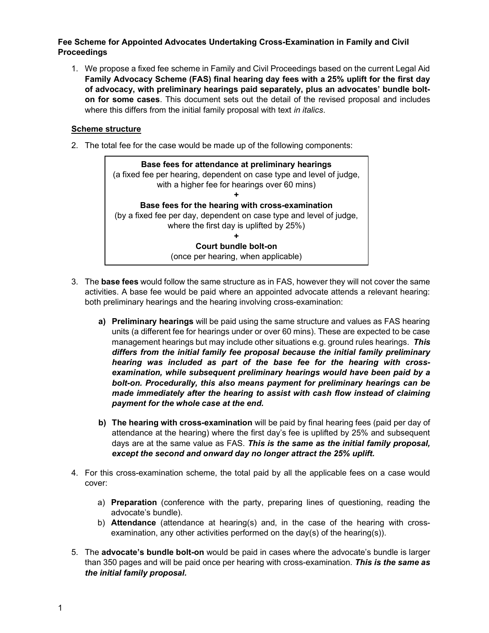# Fee Scheme for Appointed Advocates Undertaking Cross-Examination in Family and Civil Proceedings

1. We propose a fixed fee scheme in Family and Civil Proceedings based on the current Legal Aid Family Advocacy Scheme (FAS) final hearing day fees with a 25% uplift for the first day of advocacy, with preliminary hearings paid separately, plus an advocates' bundle bolton for some cases. This document sets out the detail of the revised proposal and includes where this differs from the initial family proposal with text in italics.

# Scheme structure

2. The total fee for the case would be made up of the following components:

- 3. The base fees would follow the same structure as in FAS, however they will not cover the same activities. A base fee would be paid where an appointed advocate attends a relevant hearing: both preliminary hearings and the hearing involving cross-examination:
	- a) Preliminary hearings will be paid using the same structure and values as FAS hearing units (a different fee for hearings under or over 60 mins). These are expected to be case management hearings but may include other situations e.g. ground rules hearings. This differs from the initial family fee proposal because the initial family preliminary hearing was included as part of the base fee for the hearing with crossexamination, while subsequent preliminary hearings would have been paid by a bolt-on. Procedurally, this also means payment for preliminary hearings can be made immediately after the hearing to assist with cash flow instead of claiming payment for the whole case at the end.
	- b) The hearing with cross-examination will be paid by final hearing fees (paid per day of attendance at the hearing) where the first day's fee is uplifted by 25% and subsequent days are at the same value as FAS. This is the same as the initial family proposal, except the second and onward day no longer attract the 25% uplift.
- 4. For this cross-examination scheme, the total paid by all the applicable fees on a case would cover:
	- a) Preparation (conference with the party, preparing lines of questioning, reading the advocate's bundle).
	- b) **Attendance** (attendance at hearing(s) and, in the case of the hearing with crossexamination, any other activities performed on the day(s) of the hearing(s)).
- 5. The advocate's bundle bolt-on would be paid in cases where the advocate's bundle is larger than 350 pages and will be paid once per hearing with cross-examination. This is the same as the initial family proposal.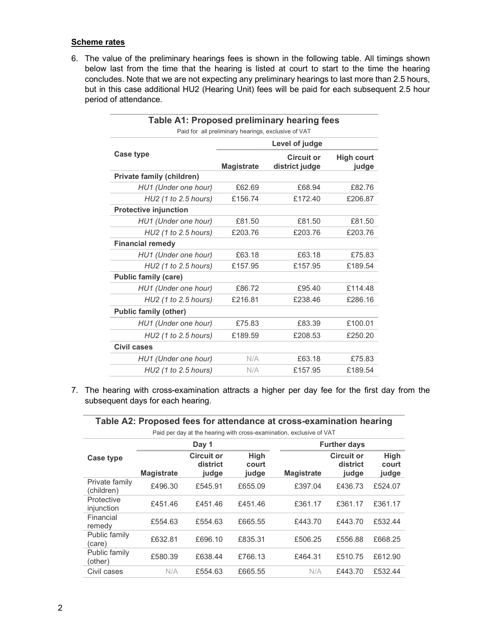## Scheme rates

6. The value of the preliminary hearings fees is shown in the following table. All timings shown below last from the time that the hearing is listed at court to start to the time the hearing concludes. Note that we are not expecting any preliminary hearings to last more than 2.5 hours, but in this case additional HU2 (Hearing Unit) fees will be paid for each subsequent 2.5 hour period of attendance.

| Table A1: Proposed preliminary hearing fees         |                   |                                     |                            |  |  |  |
|-----------------------------------------------------|-------------------|-------------------------------------|----------------------------|--|--|--|
| Paid for all preliminary hearings, exclusive of VAT |                   |                                     |                            |  |  |  |
|                                                     | Level of judge    |                                     |                            |  |  |  |
| Case type                                           | <b>Magistrate</b> | <b>Circuit or</b><br>district judge | <b>High court</b><br>judge |  |  |  |
| <b>Private family (children)</b>                    |                   |                                     |                            |  |  |  |
| HU1 (Under one hour)                                | £62.69            | £68.94                              | £82.76                     |  |  |  |
| HU2 (1 to 2.5 hours)                                | £156.74           | £172.40                             | £206.87                    |  |  |  |
| <b>Protective injunction</b>                        |                   |                                     |                            |  |  |  |
| HU1 (Under one hour)                                | £81.50            | £81.50                              | £81.50                     |  |  |  |
| HU2 (1 to 2.5 hours)                                | £203.76           | £203.76                             | £203.76                    |  |  |  |
| <b>Financial remedy</b>                             |                   |                                     |                            |  |  |  |
| HU1 (Under one hour)                                | £63.18            | £63.18                              | £75.83                     |  |  |  |
| HU2 (1 to 2.5 hours)                                | £157.95           | £157.95                             | £189.54                    |  |  |  |
| <b>Public family (care)</b>                         |                   |                                     |                            |  |  |  |
| HU1 (Under one hour)                                | £86.72            | £95.40                              | £114.48                    |  |  |  |
| HU2 (1 to 2.5 hours)                                | £216.81           | £238.46                             | £286.16                    |  |  |  |
| <b>Public family (other)</b>                        |                   |                                     |                            |  |  |  |
| HU1 (Under one hour)                                | £75.83            | £83.39                              | £100.01                    |  |  |  |
| HU2 (1 to 2.5 hours)                                | £189.59           | £208.53                             | £250.20                    |  |  |  |
| <b>Civil cases</b>                                  |                   |                                     |                            |  |  |  |
| HU1 (Under one hour)                                | N/A               | £63.18                              | £75.83                     |  |  |  |
| HU2 (1 to 2.5 hours)                                | N/A               | £157.95                             | £189.54                    |  |  |  |
|                                                     |                   |                                     |                            |  |  |  |

7. The hearing with cross-examination attracts a higher per day fee for the first day from the subsequent days for each hearing.

Table A2: Proposed fees for attendance at cross-examination hearing

|  | ble A2: Proposed fees for attendance at cross-examination hearl |  |  |
|--|-----------------------------------------------------------------|--|--|
|  |                                                                 |  |  |

Paid per day at the hearing with cross-examination, exclusive of VAT

|                              | Day 1             |                                        |                        | <b>Further days</b> |                                        |                        |
|------------------------------|-------------------|----------------------------------------|------------------------|---------------------|----------------------------------------|------------------------|
| Case type                    | <b>Magistrate</b> | <b>Circuit or</b><br>district<br>judge | High<br>court<br>judge | <b>Magistrate</b>   | <b>Circuit or</b><br>district<br>judge | High<br>court<br>judge |
| Private family<br>(children) | £496.30           | £545.91                                | £655.09                | £397.04             | £436.73                                | £524.07                |
| Protective<br>injunction     | £451.46           | £451.46                                | £451.46                | £361.17             | £361.17                                | £361.17                |
| Financial<br>remedy          | £554.63           | £554.63                                | £665.55                | £443.70             | £443.70                                | £532.44                |
| Public family<br>(care)      | £632.81           | £696.10                                | £835.31                | £506.25             | £556.88                                | £668.25                |
| Public family<br>(other)     | £580.39           | £638.44                                | £766.13                | £464.31             | £510.75                                | £612.90                |
| Civil cases                  | N/A               | £554.63                                | £665.55                | N/A                 | £443.70                                | £532.44                |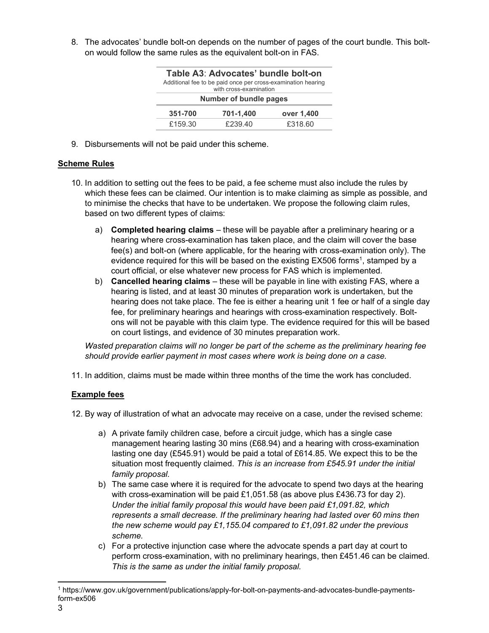8. The advocates' bundle bolt-on depends on the number of pages of the court bundle. This bolton would follow the same rules as the equivalent bolt-on in FAS.

| Table A3: Advocates' bundle bolt-on<br>Additional fee to be paid once per cross-examination hearing<br>with cross-examination |           |            |  |  |
|-------------------------------------------------------------------------------------------------------------------------------|-----------|------------|--|--|
| Number of bundle pages                                                                                                        |           |            |  |  |
| 351-700                                                                                                                       | 701-1,400 | over 1,400 |  |  |
| £159.30                                                                                                                       | £239.40   | £318.60    |  |  |

9. Disbursements will not be paid under this scheme.

## Scheme Rules

- 10. In addition to setting out the fees to be paid, a fee scheme must also include the rules by which these fees can be claimed. Our intention is to make claiming as simple as possible, and to minimise the checks that have to be undertaken. We propose the following claim rules, based on two different types of claims:
	- a) Completed hearing claims these will be payable after a preliminary hearing or a hearing where cross-examination has taken place, and the claim will cover the base fee(s) and bolt-on (where applicable, for the hearing with cross-examination only). The evidence required for this will be based on the existing EX506 forms<sup>1</sup>, stamped by a court official, or else whatever new process for FAS which is implemented.
	- b) Cancelled hearing claims these will be payable in line with existing FAS, where a hearing is listed, and at least 30 minutes of preparation work is undertaken, but the hearing does not take place. The fee is either a hearing unit 1 fee or half of a single day fee, for preliminary hearings and hearings with cross-examination respectively. Boltons will not be payable with this claim type. The evidence required for this will be based on court listings, and evidence of 30 minutes preparation work.

Wasted preparation claims will no longer be part of the scheme as the preliminary hearing fee should provide earlier payment in most cases where work is being done on a case.

11. In addition, claims must be made within three months of the time the work has concluded.

## Example fees

12. By way of illustration of what an advocate may receive on a case, under the revised scheme:

- a) A private family children case, before a circuit judge, which has a single case management hearing lasting 30 mins (£68.94) and a hearing with cross-examination lasting one day (£545.91) would be paid a total of £614.85. We expect this to be the situation most frequently claimed. This is an increase from £545.91 under the initial family proposal.
- b) The same case where it is required for the advocate to spend two days at the hearing with cross-examination will be paid £1,051.58 (as above plus £436.73 for day 2). Under the initial family proposal this would have been paid £1,091.82, which represents a small decrease. If the preliminary hearing had lasted over 60 mins then the new scheme would pay £1,155.04 compared to £1,091.82 under the previous scheme.
- c) For a protective injunction case where the advocate spends a part day at court to perform cross-examination, with no preliminary hearings, then £451.46 can be claimed. This is the same as under the initial family proposal.

<sup>1</sup> https://www.gov.uk/government/publications/apply-for-bolt-on-payments-and-advocates-bundle-paymentsform-ex506